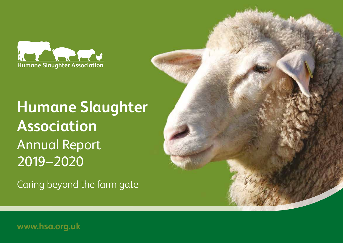

# **Humane Slaughter Association** Annual Report 2019–2020

Caring beyond the farm gate

**www.hsa.org.uk**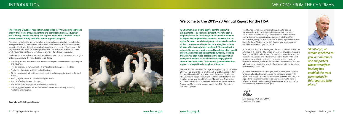## INTRODUCTION WELCOME FROM THE CHAIRMAN

**The Humane Slaughter Association, established in 1911, is an independent charity that works through scientific and technical advances, education and training, towards achieving the highest world-wide standards in food animal welfare during transport, marketing and slaughter.**

This report highlights the work undertaken by the charity during the last year, which has been possible due to the continued commitment of its members and donors who have supported the charity through subscriptions, donations and legacies. This support is the very heart and life-blood of the charity and enables us to continue to deliver initiatives which have made a difference to millions of animals – for which we thank you.

The HSA's vision is simple – to improve the welfare of food animals between the farm gate and slaughter around the world. It seeks to do this by:

- Providing technical information and advice on all aspects of animal handling, transport and slaughter.
- Providing training in humane methods of handling and slaughter of livestock.
- Producing educational and technical publications.
- Giving independent advice to governments, other welfare organisations and the food industry.
- Making regular visits to markets and slaughterhouses.
- Providing funding for research projects.
- The development and application of scientific advances.
- Providing grants towards the improvement of animal welfare during transport, marketing and slaughter.



## **Welcome to the 2019–20 Annual Report for the HSA**

**Cover photo:** Uschi Dugulin/Pixabay

*"As always, we remain indebted to you, our members and supporters, whose steadfast backing has enabled the work summarised in this report to take place."*

The HSA has gained an international reputation for being a knowledgeable and practical organisation and, in this capacity, has provided advice to industry and government bodies over the past twelve months, including important input into the All-Party Parliamentary Group for Animal Welfare (APGAW) report entitled *The Future for Small Abattoirs in the UK.* You can read more about our consultation work on pages 14 and 15.

As I write this, the HSA is dealing with the impact of Covid-19 on the activities of the charity. The effects on all types of organisations are profound and likely to be lasting. For example, many of the welfare assessments, training and education work carried out by HSA staff, as well as planned visits in the UK and overseas, are currently in abeyance. However, the HSA is resilient and I am confident that we will continue to work to the benefit of animals despite the inevitable and necessary constraints.

As always, we remain indebted to you, our members and supporters, whose steadfast backing has enabled the work summarised in this report to take place. In these uncertain times, we need your continued support more than ever in order to be able to continue to make a difference. Thank you for placing your confidence and trust in us to continue caring beyond the farm gate.



**Alick Simmons BVMS MSc MRCVS** Chairman of Trustees



**As Chairman, I am always keen to point to the HSA's achievements. This year is no different. We have seen a major milestone for the charity with the announcement of its largest ever programme of research – an award of £1.93 million for research and development to improve the welfare of fish, crustaceans and cephalopods at slaughter, an area of work which has sadly been neglected. This work has the potential to provide crucial, practical knowledge which should allow these animals to be slaughtered humanely. Funding this work has been made possible by the generosity of an anonymous benefactor, to whom we are deeply grateful. You can read more about the work that your donations and support has helped fund throughout this report.** 

The year has also been one of change and opportunity. In December 2019 we said farewell to our Chief Executive and Scientific Director Dr Robert Hubrecht OBE, who retired after five years of leadership. The Council was delighted to welcome Dr Huw Golledge to the role. Huw has been a member of the Senior Management Team at the HSA since September 2014, when he joined as the Senior Scientific Programme Manager and you can read his first Chief Executive's welcome on page 4.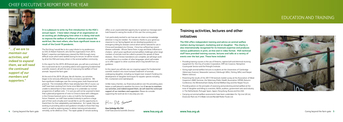## CHIEF EXECUTIVE'S REPORT FOR THE YEAR



## EDUCATION AND TRAINING

**It is a pleasure to write my first introduction to the HSA's annual report. I have taken charge of an organisation at an exciting yet challenging time when it is doing vital work to improve the welfare of millions of animals around the world but, like most others, also faces significant issues as a result of the Covid-19 pandemic.**

The first thing I would like to do is pay tribute to my predecessor as CEO, Dr Robert Hubrecht, who led the organisation from 2014. Robert's expertise and diplomacy steered the HSA through many difficult issues which were tackled during his tenure; he will be missed by all at the HSA and many others in the animal welfare community.

In this report for the 2019–20 financial year, you will see a summary of the crucial work we do in providing advice and supporting fundamental scientific research, all with the aim of improving the welfare of food animals 'beyond the farm gate'.

 $\blacksquare$  Caring beyond the farm gate in the farm gate of the rapid uptake of remote working Chief Executive & Scientific Director www.**hsa.org.uk** Www.hsa.org.uk Caring beyond the farm gate 5 At the end of the 2019–20 year, like all charities, our activities began to be seriously affected by the coronavirus pandemic. We face significant challenges over the coming years, both financial and practical. The immediate effects have already been felt of course; our staff have been working from home since March and we have been unable to attend face-to-face meetings or to undertake our normal programme of welfare visits. I'm sure you will not be surprised to learn that a planned programme of visits to China to liaise with colleagues in the Chinese livestock sector is also on hold for the foreseeable future. However, our staff have worked tirelessly to perform a large part of their work virtually and I would like to use this opportunity to thank them for their adaptability and dedication. As I speak, they are working on providing advice and guidance virtually to those that may need it, as well as exploring ways to deliver training and education remotely, as far afield as China. The rapid uptake of remote working

*"…if we are to maintain our activities, and indeed to expand them, we will need the continued support of our members and supporters."*

• Providing training courses in the use of firearms, captive-bolt and electrical stunning equipment for: the City of London Corporation, IHP Ltd, Covance, Hampshire Countryside Service and the Pirbright Institute.

offers us an unprecedented opportunity to spread our message and I look forward to seeing the results of this over the coming years.

I am particularly excited to see how we can share our knowledge wherever it may be needed. For instance, thanks to your generous response to our Spring Appeal, we are developing guidance on emergency killing for disease control which will be tailored for use in China and translated into Chinese. China has suffered two recent disease outbreaks - African Swine Fever in pigs and Avian Influenza in chickens - which pose significant animal welfare challenges when large numbers of animals must be culled to prevent the spread of these diseases. Once Chinese translations are complete, we will begin work on translations to a number of other languages, which will enable us to offer support to other countries which may benefit from our guidance.

In this report you will also see our ongoing support for fundamental scientific research into more humane treatment of animals undergoing slaughter, including our largest ever research funding into development of slaughter techniques for aquatic species including fish, crustaceans and cephalopods.

Unlike many charities, our financial prudence over the preceding years leaves us well placed to weather the storm, but if we are to maintain our activities, and indeed expand them, we will need the continued support of our members and supporters. Please do consider supporting the work we do in any way you can.

Hu DR Se

**Huw Golledge BSc PhD** Chief Executive & Scientific Director

## **Training activities, lectures and other initiatives**

**The HSA offers independent training and advice on animal welfare matters during transport, marketing and at slaughter. The charity is also internationally recognised for its livestock expertise and produces various publications in print, on-line and in video format. HSA technical staff have provided training courses, lectures and talks at a variety of events over the last year. These have included:**

• Giving eight animal welfare lectures to students at the Universities of Cambridge (Veterinary Science), Newcastle (various), Edinburgh (MSc), Stirling (MSc) and Harper Adams (various).

• Presenting the results of the 2017/18 livestock market survey at the Association of Meat Inspectors (AMI) Seminar, the Veterinary Public Health Association (VPHA) Autumn Conference, the Winterbotham Darby Animal Welfare Day and the Harper Forum.

• Providing advice on the principles of assessing and protecting animal welfare at the time of slaughter and killing to scientists, NGOs, auditors, government vets and industry in The Netherlands, Portugal, Spain, Japan, Hong Kong, Russia and the USA.

• Carrying out animal welfare assessments have been undertaken for: Hy-Line UK Ltd, Dovecote Park Ltd, H G Blake Ltd and Randall Parker Foods Ltd.

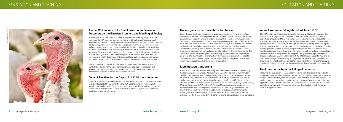**6** Caring beyond the farm gate **www.hsa.org.uk www.hsa.org.uk** Caring beyond the farm gate **7**

### **Animal Welfare Advice for Small-Scale and/or Seasonal Processors on the Electrical Stunning and Bleeding of Poultry**

In November 2019, as a result of numerous enquiries from existing and prospective producers, the HSA produced guidance aimed at small-scale and/or seasonal poultry producers and processors. Small-scale and seasonal slaughter is subject to animal welfare legislative requirements in a similar way to large-scale, commercial poultry producers and processors. However, in relation to welfare at the time of slaughter, the application of certain requirements, such as licensing, is dependent on the nature and scale of the operation. Small-scale and seasonal slaughter is also subject to additional regulations to those relating to animal welfare at slaughter. These include registration with the environmental health department of the relevant local authority, to ensure compliance with animal health, animal by-product licensing and collection and disposal requirements.

Technical Note No 27, which is in the latest in the series of HSA technical notes, highlights and explains the particular requirements applicable to producers and processors in the UK, but may also be useful to producers elsewhere. It can be downloaded using the following link: www.hsa.org.uk/tn27

#### **Code of Practice for the Disposal of Chicks in Hatcheries**

The third edition of this HSA publication was updated last year and is now accessible as a downloadable PDF document on the HSA website using the following link: www.hsa.org.uk/chickcode. The code of practice was revised to bring it into line with current slaughter legislation. It is widely used as a reference by writers of standards, hatchery managers and auditors.



#### **On-line guide to be translated into Chinese**

Earlier this year the HSA's Spring Appeal was announced, asking for help to fund the translation of the HSA's on-line guide *On-Farm Killing for Disease Control Purposes*. This document was originally written in English, although the principles of humane killing and biosecurity are universal. China is currently experiencing outbreaks of African Swine Fever virus and Avian Influenza. In situations such as this is, it is imperative that animals are handled well, and killed humanely, on-farm to maintain good welfare standards whilst controlling the spread of disease. The HSA technical staff are working to ensure the document provides relevant and accurate information for Chinese stakeholders. The Chinese version of the on-line guide *On-Farm Killing for Disease Control Purposes* will be available to download free of charge from the Publications section of our website (see www.hsa.org.uk), in due course. We are very grateful for the generous donations of members and supporters which have made this possible.

#### **More Russian translations**

In March 2020 the HSA received an enquiry from a representative of an EU-funded project *(Support for Further Sustainable Agriculture and Rural Development in Turkmenistan, SARD III*, in co-operation with the *Ministry of Agriculture and Environment Protection of Turkmenistan)*, which resulted in the generous translation into Russian of five HSA publications, to add to the HSA's existing Russian poultry Technical Information Poster. The translated HSA On-line Guides on *Humane Handling of Livestock, Transport of Livestock, Electrical Stunning of Red Meat Animals, Practical Slaughter of Poultry*, and *Emergency Slaughter* will be used to offer guidance to farmers, vets, and slaughterhouse staff on slaughter procedures, including the available methods and equipment for humanely stunning animals. These translations will also be available to download from the HSA website. The HSA thanks SARD III for its generous assistance in producing these translations.

#### **Animal Welfare at Slaughter – Hot Topics 2019**

The HSA held its fourth successive seminar for the meat and livestock industry on 9th October 2019 at Jurys Inn, East Midlands Airport. This event covered a number of subjects currently relevant to animal welfare between the farm gate and slaughter. Ten speakers from industry, research and the legislature covered topics including seasonal poultry slaughter, CCTV update, low atmospheric pressure stunning, measuring captivebolt velocity during use and a novel method for the enhanced neck-dislocation of poultry. Following the presentation of papers, the panel of speakers then took part in a lively hour-long discussion forum. Once again this was a very well-received and successful event: the final attendance being nearly 140 delegates. A high spot in the proceedings was the presentation, by CEO Robert Hubrecht, of the 2019 Humane Slaughter Award to Dr Dorothy McKeegan of the University of Glasgow for her ground-breaking research into the welfare impacts of controlled atmosphere stunning (CAS) and her outstanding and sustained contribution to protecting animal welfare at slaughter or killing (see page 14).

#### **Guidance on the humane killing of neonates**

Following the publication of three papers resulting from the research carried out by the University of Bristol with assistance from the HSA, new guidance on the humane killing of neonate lambs, goats and piglets is now available on the HSA website. The guidance comprises a technical leaflet with links to video footage showing the correct application of non-penetrating, captive-bolt equipment for this difficult, but essential, part of animal husbandry. This guidance can be downloaded free of charge at www.hsa.org.uk/neonates.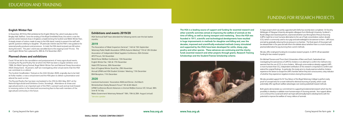### **English Winter Fair**

In November 2019 the HSA exhibited at the English Winter Fair, which took place at the Bingley Hall, Stafford. Since the ending of the Royal Smithfield Show, this event is now the premier winter livestock show in England, complementing the Scottish and Welsh Winter Fairs. A steady stream of visitors made its way to the HSA stand, mainly to present the staff with specific questions relating to slaughter. Of particular interest was the HSA's new guidance for seasonal poultry producers and processors. In total, the HSA stand received over 60 visitors during the event. This year's event was cancelled due to the ongoing Covid-19 crisis. The next English Winter Fair is planned for 20th & 21st November 2021.

#### **Planned shows and exhibitions**

Covid-19 has led to the cancellation and postponement of many agricultural events, including the Pig and Poultry Fair at which the HSA has been a regular exhibitor since 1988, the Welsh Spring Festival, Royal Welsh Winter Fair and National Sheep Association (NSA) Sheep Event. At present, staff are investigating other virtual events that the HSA can contribute to or attend.

The Scottish Smallholders' Festival on the 24th October 2020, originally due to be held at Forfar market, is now a virtual event and the HSA plans to deliver a presentation and attend the event on-line.

The Pig and Poultry Fair has been rescheduled to the 25th & 26th May 2021 at the National Agricultural and Exhibition Centre, Stoneleigh. Attendance at shows and agricultural events is an important part of the HSA's outreach work and we look forward to receiving visitors to the stand and reconnecting face-to-face with members of the agricultural community in the future.

**The HSA is a leading source of support and funding for essential research and other scientific activities aimed at improving the welfare of animals at the time of killing, as well as during transport and marketing. Since the HSA was founded in 1911, scientific and technological developments have resulted in huge improvements in methods for slaughter and killing and, over the decades, improved and scientifically-evaluated methods (many stimulated and supported by the HSA) have been developed for cattle, sheep, pigs, poultry and other species. These advances are continuing and the charity funds essential research and other projects through grants, Research Training Scholarships and the Student/Trainee Scholarship scheme.** 



A major project which we jointly supported with Defra has recently been completed. Dr Dorothy McKeegan of Glasgow University alongside colleagues from Edinburgh University, Scotland's Rural College and industrial partners, examined whether Low Atmospheric Pressure Stunning (LAPS) might be a more humane alternative to the use of high concentration carbon dioxide (CO2) which is commonly used to stun pigs and acknowledged to be aversive to them. LAPS stuns animals by gradually reducing the air pressure in a chamber. The final report of the project will be released later in the year and will inform the debate about whether there is a more humane, practical alternative for pig stunning than current methods.

We also offer small grant funding for innovative research projects. In 2019–20 we awarded funding for two research projects:

Drs Michael Toscano and Thom Gent (Universities of Bern and Zurich, Switzerland) are investigating the aversiveness of LAPS for chickens in an attempt to confirm the method is less aversive than the use of  $CO<sub>2</sub>$  to stun chickens. Although some evidence already suggests LAPS is more humane than  $CO<sub>2</sub>$ , independent verification of this research is important to confirm and extend the original findings. In particular, this study aims to closely examine whether chickens experience the desire to escape the LAPS chamber before they lose consciousness, a key indicator of whether they experience negative emotions during the procedure.

We also provided support for Dr Troy Gibson of the Royal Veterinary College to perform early proof-of-concept tests for a novel method for electrical stunning of poultry, which could potentially offer significant welfare advantages over existing waterbath-based methods.

Both grants demonstrate our commitment to supporting fundamental research which has the possibility to develop or validate more humane ways of stunning animals. Your support allows us to continue this crucial work which we hope will eventually lead to developments with the potential to improve the welfare of many millions of animals.

## FUNDING FOR RESEARCH PROJECTS

### **Exhibitions and events 2019/20**

HSA Technical Staff have attended the following events over the last twelve months:

### **2019**

The Association of Meat Inspectors Seminar\*, 14th & 15th September Veterinary Public Health Association (VPHA) Autumn Meeting\* 11th & 12th October Association of Independent Meat Suppliers Conference, 26th October AFCP Forum, 5th November World Horse Welfare Conference, 13th November English Winter Fair, 16th & 17th November Halal CPD Seminar, 20th November East of England Winter Stock Fair, 29th November Annual UFAW and HSA Student Scholars' Meeting, 11th December BVA Reception, 11th December

#### **2020**

Livestock Auctioneers' Association AGM and Dinner, 2nd March Winterbotham Darby Research Forum\* 5th & 6th March UFAW Conference *Recent Advances in Animal Welfare Science VII*, Virtual, 30th June & 1st July Wales Government Veterinary Network\* 18th, 19th & 20th August (virtual)

\*denotes speaker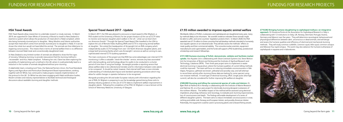### **£1.93 million awarded to improve aquatic animal welfare**

Worldwide, billions of finfish, crustaceans and cephalopods are slaughtered every year, many by methods likely to be inhumane. Yet scientific evidence indicates these animals might be able to suffer, and some countries' legislation protects them. In March 2020, the HSA awarded over £1.9 million to three consortia that will develop methods intended to humanely stun aquatic species on an industrial scale. They will also assess the methods' effects on meat quality and their commercial viability. The consortia involve scientists, equipment manufacturers and supermarkets, and the funds will support a PhD studentship, postdoctoral scholarships and research fellowships.

**£721,580 Humane stunning of finfish: demonstrate, validate and facilitate market** 

**uptake.** Ace Aquatec Ltd is collaborating with Silsoe Livestock Systems Ltd, Steve Wotton Ltd, the Universities of Bristol and Stirling and the Institute of Agrifood Research and Technology, Catalonia (IRTA). Their three-year project aims to implement in-water electrical stunning in aquaculture, where the humane qualities of current killing methods could be improved. The team will focus on inducing immediate unconsciousness in Nile tilapia, *Pangasius*, gilthead sea bream, yellowtail and possibly carp, and will attempt to record brain activity after stunning (these data are lacking for some species) using non-invasive methods. A novel type of electrical stunning, SPUC (single pulse ultra-high current), will also be considered for further improving fish welfare at slaughter.

**£500,000 Stunning and killing the commercial species of crabs and lobsters.** Dr

Bjørn Roth at Nofima AS in Norway is collaborating with the Institute of Marine Research and Optimar AS, on a four-year project for electrically stunning decapod crustaceans of the northern Atlantic. The welfare impact of the method will be assessed using electrical impedance, physiology, behaviour and neurology, to evaluate post-stunning responsiveness, loss of consciousness and death. The findings will enable development of a series of different slaughter systems. The team aims to induce immediate unconsciousness in snow, red king and edible crab, Norway and European lobster, and possibly American lobster. Potentially, the equipment could be used in processing plants and onboard fishing vessels.

**£710,082 Bringing humane slaughtering to cephalopod molluscs: an integrative approach.** Dr Giovanna Ponte at the Association for Cephalopod Research in Italy is collaborating with 12 institutions (in Italy, UK, Norway, Denmark, Portugal, Austria, Germany and Mexico) over five years. They will determine neurological, behavioural and physiological differences between alert, unconscious or dead animals, and will design and assess the humane qualities and efficiency of electrical and mechanical stunning methods. They will study common cuttlefish, common squid, little squid, common octopus and Mexican four-eyed octopus. This work may also advance the humane euthanasia of cephalopods in aquaria and in laboratories.



### **HSA Travel Awards**

HSA Travel Awards allow researchers to undertake research or study overseas. In March 2019, we supported Dr Claire White of University of Bristol to travel to New Zealand to examine a system which allows the production of meat which is Halal-compliant, whilst also being humanely stunned prior to slaughter. Many Muslims and Islamic authorities accept that meat which comes from animals stunned prior to slaughter is Halal, if it can be shown the initial stun would not have killed the animal. The animals are then killed prior to regaining consciousness. This means that in terms of animal welfare there is no difference between stunned Halal meat and conventionally-slaughtered meat.

In New Zealand a very limited number of animals are allowed to show the first signs of recovery, following stunning, to provide reassurance that the stunning method is 'recoverable' and thus, Halal-compliant. Following her visit, Claire has been exploring the possibility of implementing such a method in the UK, where it could potentially lead to a reduction in the number of animals slaughtered without prior stunning.

A stakeholder team, including Lord Trees, the National Farmers Union, the Food Standards Agency and Agriculture and Horticulture Development Board representatives, working together with Dr White, has continued to make progress towards implementation of the protocol in the UK. Dr White has also been engaging with Halal certification bodies, Muslim scholars and industry representatives to facilitate technical and theological discussions about available stunning and slaughter methods.

#### **Special Travel Award 2017 - Update**

In March 2017, the HSA was pleased to announce a travel award to Ellie Wigham, a PhD student at the University of Bristol, for her project *Analysis of the use of CCTV data to monitor and improve slaughter plant welfare in the US – what can we learn from our American friends?* Through the Special Travel Award, Ellie travelled to the USA to explore the use of Remote Video Auditing (RVA) and CCTV in improving animal welfare at slaughter. She visited the headquarters of Arrowsight Ltd, an RVA company which independently audits CCTV footage from over 125 North American slaughter plants, and a large beef processing facility which uses Arrowsight's services as well as running its own, sophisticated internal CCTV auditing operation.

The main conclusions of the project are that RVA has some advantages over internal CCTV monitoring; it offers a valuable 'check-the-checker' service, removes any bias associated with internal auditing, and technology allows for audits to be conducted in a shorter period of time than if using live footage. Arrowsight provides a reporting service that allows welfare data to be collected and trended, and for information between sister plants to be compared. It should be noted, however, that internal staff have a more intimate understanding of individual plant layout and standard operating procedures which may allow for subtle changes in operator behaviour to be recognised.

Alongside providing the UK and wider European industry with information regarding the use of RVA, Dr Wigham is preparing to use the knowledge gained during these visits to develop industry guidance on the use of CCTV data to implement welfare improvement in slaughter plants. Following the completion of her PhD, Dr Wigham is now a lecturer at the School of Veterinary Medicine, University of Glasgow.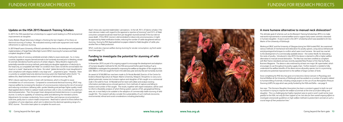### **Update on the HSA 2015 Research Training Scholars**

In 2015 the HSA awarded two scholarships to support work leading to a PhD and practical improvements at slaughter.

Carlos Rebelo (Royal Veterinary College) is finishing the last chapters of his thesis on electrical stunning of turkeys. He evaluated existing small-scale equipment and made refinements to optimise stunning.

In 2019 Awal Fuseini (University of Bristol) submitted his thesis on the development and practical implementation of Single Pulse Ultra-High Current (SPUC) stunning for humane and Halalcompliant slaughter of cattle.

Cutting the necks of conscious vertebrate animals is likely to cause severe pain. So, in many countries, legislation requires farmed animals to be humanely stunned prior to bleeding, except for animals intended as food for persons of certain religions. Many Muslims regard some potentially-reversible stunning methods, particularly pre-slaughter application of electricity to the head only, as compatible with Halal *"on condition that it does not kill the animal before the ritual cut is made"*, Awal wrote in his thesis. He noted: *"global demand for meat slaughtered in strict compliance with religious beliefs is very large and … projected to grow."* However, *"there is currently no suitable head-only electrical stunning system for Halal beef within the EU."* To address this, Awal furthered research into a novel type of electrical stunning, SPUC.

SPUC induces opening of pores in brain cell membranes, which is thought to cause immediate loss of consciousness. Compared to conventional electrical stunning, SPUC may improve welfare by increasing the duration of unconsciousness (reducing the risk of recovery) and reducing convulsions (allowing safer, quicker bleeding and perhaps higher-quality meat). Awal applied electric fields to cadaver heads and brain cells *in-vitro*, to estimate the optimum electrical parameters. Then the project team designed and tested electronics in a prototype stunner, to verify its capability of restraining cattle and delivering the intended currents. Adjustments (to increase conductivity, focus current flow, and improve circuit protection) took time, partly due to custom-made components. Awal had to submit his thesis before the completion of some objectives, which aim to determine the electrical operating range of a SPUC stunner. The entire team plans to complete this work soon.

Awal's thesis also reported stakeholders' perceptions. In the UK, 95% of Islamic scholars (*"the main decision makers with regard to the approval or rejection of stunning"*) and 53% of Halal consumers surveyed would eat meat from pre-slaughter-stunned animals if the stun did not cause death. If this SPUC stunner is demonstrated to induce only unconsciousness, it might be approved by Halal certification bodies, reducing the number of cattle slaughtered without stunning. During his PhD Awal published six papers related to Halal slaughter of cattle, plus another five on Halal production.

SPUC could also improve welfare during stunning for secular consumption, eg fresh-water trout (see page 11).

### **Funding to investigate the potential for stunning of wildcaught fish**

In November 2019, as part of its ongoing support to encourage the development and adoption of humane slaughter methods for fish, the HSA announced further grant funding of up to £200,000 to investigate the potential for improving the welfare at slaughter of fish caught in the wild. Billions of fish are caught for food in the wild every year and very few are humanely stunned.

An award of £166,000 has now been made to Dr Nicola Randall, Director of the Centre for Evidence-Based Agriculture at Harper Adams University, Newport, Shropshire, to carry out a global systematic review into humane capture and slaughter of fish caught on a commercial scale in the wild for food. Dr Randall and her team will collate and analyse existing information and data across a broad spectrum: from methods of capture and killing to location and number of fish caught. The results, together with expert evaluation, will be used to inform a feasibility analysis of which fishing system, species of fish, geographical fishing area, etc is most likely to be suitable to the adoption of commercially-viable stunning of wildcaught fish. The research will also consider the sustainability of such methods (economic, environmental, ethical and social considerations including practicality).

#### **A more humane alternative to manual neck dislocation?**

The ultimate goal of schemes such as the Research Training Scholarships (RTS) is to make real-world improvements in animal welfare and to support early-career scientists interested in humane slaughter. A case in point is the 2011 scholarship which was awarded to Dr Jess Martin of the University of Edinburgh.

Working at SRUC and the University of Glasgow during her HSA-funded PhD, Jess examined various methods of mechanical neck dislocation for poultry species, using various behavioural and physiological techniques to confirm which were most humane. Her work has now led to the development of a commercially available device – the Livetec Nex®, for dislocating the necks of poultry. Introduced in July 2019, the device is claimed to offer a higher welfare alternative to manual cervical dislocation. The Nex has now been certified as compliant with Red Tractor standards and was recently awarded New Product of the Year by Poultry Business Magazine. The device is also endorsed by at least one major UK supermarket, which encourages its use throughout its poultry supply chain. Further research is needed to fully understand the welfare benefits of the device across all poultry species, but it is a promising and welcome potential improvement to the welfare of large numbers of birds.

Since completing her PhD Jess has gone on to become a Senior Lecturer in Physiology and Animal Welfare at the University of Edinburgh and has worked on a number of projects related to humane killing of animals, including a large project on the use of Low Atmospheric Pressure Stunning (LAPS) for pigs which was jointly funded by the HSA and Defra – see page 9 .

Jess says: *"The Humane Slaughter Association has been a constant support to both me and my research in trying to improve the welfare of animals at the time of on-farm killing and slaughter. This is a challenging but highly important area to work in and I could not be more grateful to the HSA, not only for their support of me, but also for their overall ongoing efforts to investigate and provide guidelines on high welfare methods to protect farm animals at such a crucial stage of their production lives."*

Photo credit: Alexas\_Foto/Pixabay

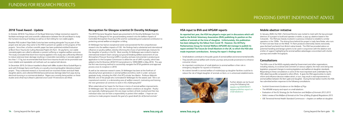### **2018 Travel Award - Update**

In October 2018 Dr Troy Gibson of the Royal Veterinary College received an award to facilitate exchange visits and scientific collaboration between the UK and Brazil to study the humane stunning of donkeys as well as on-farm killing for non-viable piglets.

Brazilian PhD student Filipe Dalla Costa has been working alongside Troy as part of the project and, last year, they came to the HSA to present an update on the progress of the projects. Since then, a further scientific paper has been published entitled *Evaluation of Blunt Force Trauma for Culling Neonatal Piglets On-Farm.* On pig farms, non-viable neonatal piglets are culled to alleviate or prevent suffering or negative welfare outcomes. The study concluded that blunt force trauma applied in this study was sufficiently effective to induce extensive brain damage resulting in irreversible insensibility in neonate piglets of less than 1.17 kg, but recommended that blunt force trauma should not be promoted over more reliable and repeatable cull methods such as captive-bolt devices.

In December 2019, Dr Gibson travelled to Brazil with MRes student Alicia Godsell-Ryan to work with Embrapa Swine and Poultry on a poultry stunning/slaughter laboratory-based project. They conducted research in stunned and non-stunned chicken and duck Halal slaughter plants, and collected EEG/behavioural/carcase damage data from pigs during electrical stunning in a commercial abattoir. Papers are currently being written on these studies and a final trip to Brazil is planned once Covid-19 restrictions are lifted.

#### **Recognition for Glasgow scientist Dr Dorothy McKeegan**

The 2019 Humane Slaughter Award was presented to Dr Dorothy McKeegan from the University of Glasgow for her ground-breaking research into the welfare impacts of Controlled Atmosphere Stunning (CAS) and her outstanding and sustained contribution to protecting animal welfare at slaughter or killing.

> • Small abattoirs contribute to the public goods of animal welfare and environmental benefits. • They benefit animal welfare with shorter journeys and provide provenance to enhance consumer choice.

• An indirect benefit to animal welfare of mobile/pop-up slaughter facilities could be to reduce the risk of illegal slaughter of animals on-farm, or in unlicensed establishments.



Dr McKeegan has had an exceptional career and pioneered the first comprehensive research into the welfare impacts of CAS. Her findings had a substantial and international influence on poultry welfare, directly informing the choice of permitted gas mixtures for the slaughter of poultry in the EU. Most recently, Dr McKeegan was invited to lead an international research team carrying out ground-breaking welfare assessment of Low Atmospheric Pressure Stunning (LAPS) in poultry and was instrumental in producing an application to the European Commission to allow the use of LAPS in poultry, which was added to the EU Directive 2018/723 (amendment to 1099/2009) in May 2018. This was the first new stunning method to successfully navigate the EFSA guidelines and approval process since its inception in 2010.

As well as her extensive research career, Dr McKeegan has been at the forefront of educating future generations in animal welfare and ethics, both in under- and postgraduate study, including the HSA's first RTS scholar Jess Martin. Professor Malcolm Mitchell, one of the people who nominated Dr McKeegan for the award, said: *"She is an inspirational scientist, in a demanding area of welfare research, motivating and training the next generation of scientists to work in this challenging field."* 

When asked about her hopes for the future in terms of animal welfare improvements, Dr McKeegan said: *"My work aims to improve welfare conditions at slaughter. Poultry are especially challenging given the very large numbers of birds involved and their low individual value, but we have a responsibility to protect their welfare. I hope we can continue to make progress towards the goal of a good death for all farmed animals."*

### **HSA input to BVA and APGAW reports**

**As reported last year, the HSA has played a major part in discussions which will lead to the British Veterinary Association (BVA) publishing its position on the welfare of animals at the time of slaughter. Unfortunately, this publication has been delayed by the fallout from Covid-19. However, the All-Party Parliamentary Group for Animal Welfare (APGAW) did manage to publish its report entitled** *The Future for Small Abattoirs in the UK***, to which the HSA also made important contributions. Among the report's findings were:**

• An important contribution of small abattoirs to animal welfare is their role in emergency slaughter for injured or ill livestock.

> Further details can be found using the following link: apgaw.org/2020/06/07/ apgaw-publishes-report-onsmall-abattoirs/

#### **Mobile abattoir initiative**

In January 2020, the HSA's Technical Director was invited to meet with the two principal directors of a project to build and operate a mobile, or pop-up, abattoir based in the Cotswolds. The HSA was heavily involved in a previous initiative to establish a similar operation in the 1990s. The driving force behind this project is Lady Jane Parker, who runs Fir Farm Ltd near Stow-on-the-Wold. Fir Farm produces extensively reared, exclusively grass-fed beef and lamb from British native breeds. The HSA has provided advice on potential handling and lairage systems to be used in conjunction with the abattoir and a letter of support highlighting the animal welfare advantages concomitant with shorter journeys and smaller throughputs.

#### **Consultations**

The HSA is one of the NGOs regularly asked by Government and other organisations, including industry, to scrutinize and comment on various subjects; the main ones being new legislation, proposed changes to existing legislation and welfare at slaughter standards. Responding to these consultations is some of the most important work undertaken by the HSA, albeit low-profile compared to other efforts. It gives the HSA opportunities to reach, inform and influence decision-makers which, in turn, may result in real improvements to animal welfare between the farm gate and slaughter. During the last twelve months the HSA has submitted written responses to the following consultations:

- Scottish Government *Guidance on the Welfare of Pigs.*
- The APGAW enquiry and report on small abattoirs.
- Evaluation of the *EU Strategy for the Protection and Welfare of Animals 2012-2015.*
- Defra's review of the *Welfare of Animals at the Time of Killing (England) Regulations 2015.*
- OIE Terrestrial Animal Health Standard Commission chapters on welfare at slaughter.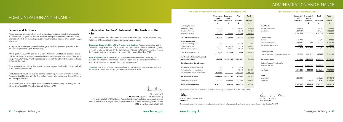## ADMINISTRATION AND FINANCE

## ADMINISTRATION AND FINANCE

#### **HSA Summary of Financial Activity Year Ended 31st March 2020 HSA Balance Sheet as at 31st March 2020**

|                                             | <b>Unrestricted</b>       | <b>Designated</b>         | <b>Total</b> | <b>Total</b> |
|---------------------------------------------|---------------------------|---------------------------|--------------|--------------|
|                                             | <b>Funds</b><br>2019/2020 | <b>Funds</b><br>2019/2020 | 2019/2020    | 2018/19      |
|                                             | £                         | £                         | £            | £            |
| <b>Incoming Resources</b>                   |                           |                           |              |              |
| Voluntary Income                            | 148,865                   |                           | 148,865      | 224,786      |
| <b>Charitable Activities</b>                | 27,148                    |                           | 27,148       | 453,042      |
| Investment Income                           | 129,415                   | 18,551                    | 147,966      | 145,576      |
| <b>Total Incoming Resources</b>             | 305,428                   | 18,551                    | 323,979      | 823,404      |
| <b>Resources Expended</b>                   |                           |                           |              |              |
| <b>Costs of Generating Funds</b>            | 53,740                    |                           | 53,740       | 54,883       |
| <b>Charitable Activities</b>                | 242,247                   | 1,931,663                 | 2,173,910    | 255,377      |
| Other Resources Expended                    | 78,992                    | 20,244                    | 99,236       | 83,098       |
| <b>Total Resources Expended</b>             | 374,979                   | 1,951,907                 | 2,326,886    | 393,358      |
| Net Operational incoming/(outgoing)         |                           |                           |              |              |
| resources for the year                      | (69, 551)                 | (1,933,356)               | (2,002,907)  | 430,046      |
| <b>Other Recognised Gains &amp; Losses:</b> |                           |                           |              |              |
| Net Gain on Property Revaluation            | 27,498                    |                           | 27,498       |              |
| Net Realised Gain on Investments            | 97,115                    |                           | 97,115       | 269,803      |
| Unrealised Gains (losses) on investments    | (641, 489)                |                           | (641, 489)   | (68, 274)    |
| <b>Net Movement in Funds</b>                | (586, 427)                | (1,933,356)               | (2,519,783)  | 631,575      |
| <b>Balance Brought Forward</b>              | 5,149,649                 | 2,772,359                 | 7,922,008    | 7,290,433    |
| <b>Balances Carried Forward</b>             | 4,563,222                 | 839,003                   | 5,402,225    | 7,922,008    |

|                                                            | Unrestricted | Designated   | Total       | Total      |
|------------------------------------------------------------|--------------|--------------|-------------|------------|
|                                                            | <b>Funds</b> | <b>Funds</b> |             |            |
|                                                            | 2019/2020    | 2019/2020    | 2019/2020   | 2018/19    |
|                                                            | £            | £            | £           | £          |
| <b>Fixed Assets</b>                                        |              |              |             |            |
| <b>Tangible Fixed Assets</b>                               | 209,819      |              | 209,819     | 182,648    |
| Investments                                                | 4,037,407    |              | 4,037,407   | 4,606,221  |
|                                                            | 4,247,226    |              | 4,247,226   | 4,788,869  |
| <b>Current Assets</b>                                      |              |              |             |            |
| Debtors                                                    | 61,738       |              | 61,738      | 57,800     |
| Term deposits at bank                                      | 388,824      | 2,770,666    | 3,159,490   | 3,232,137  |
| Cash at Bank and in Hand                                   | 10,787       |              | 10,787      | 13,414     |
|                                                            | 461,349      | 2,770,666    | 3,232,015   | 3,303,351  |
| <b>Current Liabilities</b>                                 |              |              |             |            |
| Creditors: Amounts Falling Due within One Year             | (145, 353)   | (482, 916)   | (628, 269)  | (170, 212) |
| <b>Net Current Assets</b>                                  | 315,996      | 2,287,750    | 2,603,746   | 3,133,139  |
| Creditors: Amounts Falling Due after<br>more than One Year |              | (1,448,747)  | (1,448,747) |            |
| <b>Net Assets</b>                                          | 4,563,222    | 839,003      | 5,402,225   | 7,922,008  |
| <b>Funds</b>                                               |              |              |             |            |
| Unrestricted                                               | 4,563,222    |              | 4,563,222   | 5,149,649  |
| Designated                                                 |              | 839,003      | 839,003     | 2,772,359  |
|                                                            | 4,563,222    | 839,003      | 5,402,225   | 7,922,008  |

A G Simmons BVMS MSc MRCVS **Chairman**

1 m Yann mi

The summarised accounts were approved by the Trustees and signed on their behalf on the 22nd July 2020.

albam

The summarised accounts set out here have been extracted from the full accounts and have been prepared in accordance with the Charities Act 2011

C L McCann BSc ACA **Hon Treasurer**

#### **Finance and Accounts**

The summarised accounts set out overleaf have been extracted from the full accounts of the Humane Slaughter Association and have been prepared in accordance with the Charities Act 2011, which were approved by the Trustees and signed on its behalf on 22nd July 2020.

In July 2017 the HSA were successful in being awarded two generous grants from the American organisation Open Philanthropy.

A third grant of £200,000, received in March 2019 will be used to fund a scoping exercise looking at the complexities in the development of more humane methods of killing wildcaught fish. A further £230,915 was received to support the administration and technical staffing of the charity.

These substantial grants have been treated as a designated fund, and can be seen clearly in the summarised accounts.

The full accounts have been audited and the auditors' opinion was without qualification. The accounts will be filed with the Charity Commission after the Annual General Meeting on 21st September 2020.

Full accounts, and the audit report can be obtained from the Charity Secretary, The Old School, Brewhouse Hill, Wheathampstead, Herts AL4 8AN.

#### **Independent Auditors' Statement to the Trustees of the HSA**

We have examined the summarised financial statements that comprise the summary statement of financial activities and summary balance sheet.

**Respective Responsibilities of the Trustees and Auditors** You are responsible as the Trustees for the preparation of the summarised financial statements. We have agreed to report to you our opinion on the summarised financial statements' consistency with the financial statements, on which we reported to you on 22nd July 2020.

**Basis of Opinion** We have carried out the procedures we consider necessary to ascertain whether the summarised financial statements are consistent with the full financial statements from which they have been prepared.

**Opinion** In our opinion the summarised financial statements are consistent with the full financial statements for the year ended 31st March 2020.

Sur thay

22nd July 2020 **S Munday FCA** (Senior Statutory Auditor) for and on behalf of UHY Hacker Young (East Limited) is eligible for appointment as auditor by virtue of its eligibility for appointment as auditor of a company under section 1212 of the Companies Act 2006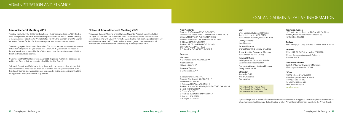#### **Vice-Presidents**

Professor R S Anderson BVMS PhD MRCVS Professor P M Biggs CBE DSc DVM FRCPath FSB FRS FRCVS L Brown MBE BVSc BA PhD FSB MBA FRCVS Professor P H Holmes OBE BVMS PhD FRCVS FRSE B R Howard BVMS PhD MRCVS Professor J E T Jones PhD MRCVS FRCPath J H Pratt BVM&S DVSM FRCVS G D Sales BSc PhD AKC MSB DipTCDHE

#### **Trustees**

Chairman A G Simmons BVMS MSc MRCVS **1 2 3** 

Vice-Chairman M Radford OBE LLB **<sup>1</sup>**

Honorary Treasurer C McCann BSc ACA**1 3**

S Abeyesinghe BSc MSc PhD Professor R M Bennett BSc MSc PhD **1 2** J Downes BVSC MRCVS A Enticknap PhD **2** (from 16.10.2019) Professor A Nolan OBE MVB DipECVA DipECVPT DVA MRCVS B North MBA MSc PhD **<sup>1</sup>** A Olsson MSc PhD **<sup>3</sup>** D Pritchard BSc BVetMed MPH MRCVS **<sup>2</sup>** C Reid (to 16.10.2019) D R Sargan MA PhD **2 3**

#### **Annual General Meeting 2019**

The AGM was held at the Old School, Brewhouse Hill, Wheathampstead on 16th October 2019. As in previous years this was held in conjunction with the Annual General Meeting of the Universities Federation for Animal Welfare (UFAW). The members of UFAW Council also act as Trustees for the HSA. Joint meetings are held to save time and money.

The meeting agreed the Minutes of the AGM of 2018 and resolved to receive the Accounts and Auditor's Report for the year ended 31st March 2019. Questions on the Report of the year's work were answered by the officials present and the meeting resolved that the Report and Accounts be received.

It was resolved that UHY Hacker Young (East) Ltd, Registered Auditors, be appointed as auditors to HSA and their remuneration should be fixed by Council.

Professor R Bennett, and Dr B North, stood down under the rules regarding rotation, both offered themselves for re-election, and were re-elected. Following the resignation of Ms C Reid, Dr A Enticknap, a new candidate was proposed, Dr Enticknap's nomination had the full support of Council, and she was duly elected.

#### **Notice of Annual General Meeting 2020**

The Annual General Meeting of the Humane Slaughter Association will be held at 12.30pm on Monday 21st September 2020. This meeting will be held as a video conference, in line with Covid-19 restrictions, and in line with the Corporate Insolvency and Governance Act 2020. The formal notice and agenda have been sent to all members and are available from the Secretary at the registered office.

## LEGAL AND ADMINISTRATIVE INFORMATION

#### **Staff**

Chief Executive & Scientific Director Robert Hubrecht (to 31.12.2019) Huw Golledge BSc PhD (from 01.01.2020) Charity Secretary

Jane Moorman

Technical Director Charles Mason HND MInstM CF ARAgS

Senior Scientific Programme Manager Huw Golledge (to 31.12.2019)

Technical Officers Jade Spence BSc (Hons) MSc AMRSB Susan Richmond BSc MSc PhD

Fundraising/Communications Manager Tracey Woods MCIPR

Office staff Samantha Griffin Wendy L Goodwin Tina Langford

#### **Registered Auditors**

UHY Hacker Young (East) Ltd, PO Box 501, The Nexus Building, Broadway, Letchworth Garden City, Hertfordshire, SG6 9BL

**Bankers** HSBC Bank plc, 31 Chequer Street, St Albans, Herts, AL1 4YN

#### **Solicitors**

Withers LLP, 16 Old Bailey, London, EC4M 7EG Wilsons, Summerlock Approach, Salisbury, Wiltshire, SP2 7RJ

#### **Investment Advisers**

Smith & Williamson Investment Managers, 25 Moorgate, London, EC2V 5NS

#### **Offices**

The Old School, Brewhouse Hill, Wheathampstead, Herts, AL4 8AN Tel+44(0)1582 831919 Fax +44(0)1582 831414 Email info@hsa.org.uk www.hsa.org.uk

If you no longer wish to receive information about the charity's activities or support our work, then please contact the HSA office. (Members should be aware that notification of future Annual General Meetings is provided in the Annual Report).

**<sup>1</sup>**Member of the Finance Panel **<sup>2</sup>**Member of the Fundraising Panel **3**Member of the Grant Panel